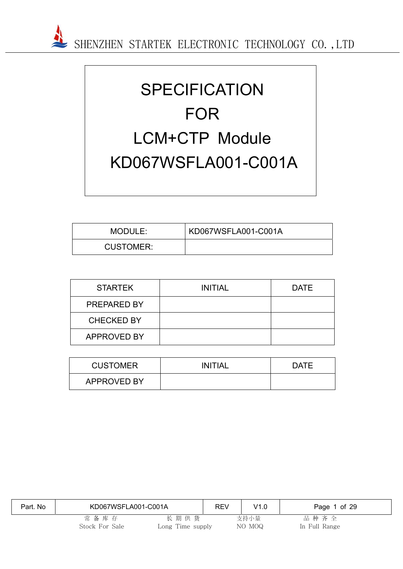

# **SPECIFICATION** FOR LCM+CTP Module KD067WSFLA001-C001A

| MODULE:          | KD067WSFLA001-C001A |
|------------------|---------------------|
| <b>CUSTOMER:</b> |                     |

| <b>STARTEK</b>     | <b>INITIAL</b> | <b>DATE</b> |
|--------------------|----------------|-------------|
| <b>PREPARED BY</b> |                |             |
| <b>CHECKED BY</b>  |                |             |
| APPROVED BY        |                |             |

| <b>CUSTOMER</b>    | INITIAL | <b>DATE</b> |
|--------------------|---------|-------------|
| <b>APPROVED BY</b> |         |             |

| Part, No | KD067WSFLA001-C001A       |                          | <b>REV</b> | V1.0           | Page 1 of 29          |
|----------|---------------------------|--------------------------|------------|----------------|-----------------------|
|          | 常 备 库 存<br>Stock For Sale | 长期供货<br>Long Time supply |            | 支持小量<br>NO MOQ | 品种齐全<br>In Full Range |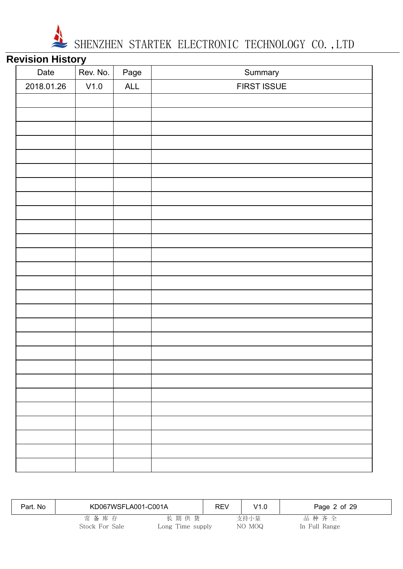

# **Revision History**

| <u></u>    |          |      |             |
|------------|----------|------|-------------|
| Date       | Rev. No. | Page | Summary     |
| 2018.01.26 | V1.0     | ALL  | FIRST ISSUE |
|            |          |      |             |
|            |          |      |             |
|            |          |      |             |
|            |          |      |             |
|            |          |      |             |
|            |          |      |             |
|            |          |      |             |
|            |          |      |             |
|            |          |      |             |
|            |          |      |             |
|            |          |      |             |
|            |          |      |             |
|            |          |      |             |
|            |          |      |             |
|            |          |      |             |
|            |          |      |             |
|            |          |      |             |
|            |          |      |             |
|            |          |      |             |
|            |          |      |             |
|            |          |      |             |
|            |          |      |             |
|            |          |      |             |
|            |          |      |             |
|            |          |      |             |
|            |          |      |             |
|            |          |      |             |

| Part. No | KD067WSFLA001-C001A    |                          | <b>REV</b> | V1.0           | Page 2 of 29          |
|----------|------------------------|--------------------------|------------|----------------|-----------------------|
|          | 常备库存<br>Stock For Sale | 长期供货<br>Long Time supply |            | 支持小量<br>NO MOQ | 品种齐全<br>In Full Range |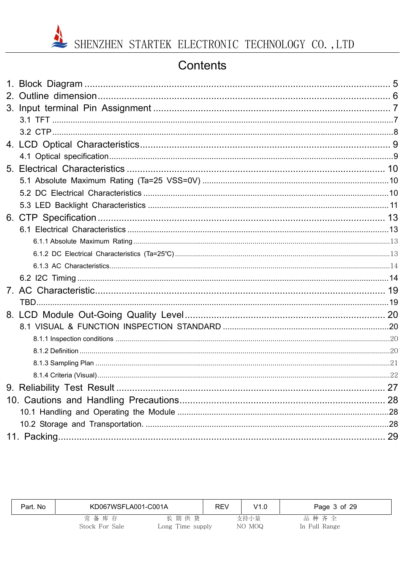# Contents

| Part. No | KD067WSFLA001-C001A    |                          | <b>REV</b> | V1.0           | Page 3 of 29          |
|----------|------------------------|--------------------------|------------|----------------|-----------------------|
|          | 常备库存<br>Stock For Sale | 长期供货<br>Long Time supply |            | 支持小量<br>NO MOQ | 品种齐全<br>In Full Range |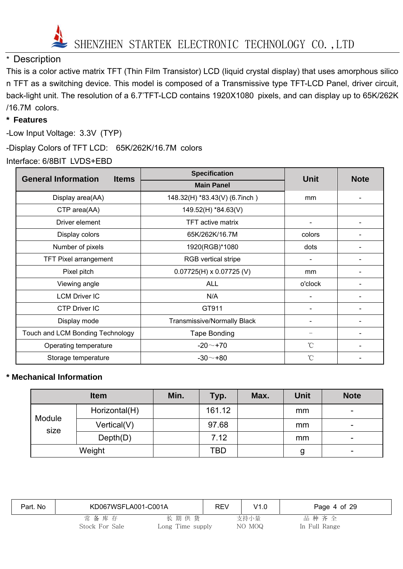

## \* Description

This is a color active matrix TFT (Thin Film Transistor) LCD (liquid crystal display) that uses amorphous silico n TFT as a switching device. This model is composed of a Transmissive type TFT-LCD Panel, driver circuit, back-light unit. The resolution of a 6.7'TFT-LCD contains 1920X1080 pixels, and can display up to 65K/262K /16.7M colors.

#### **\* Features**

-Low Input Voltage: 3.3V (TYP)

-Display Colors of TFT LCD: 65K/262K/16.7M colors

Interface: 6/8BIT LVDS+EBD

| <b>General Information</b><br><b>Items</b> | <b>Specification</b>               | <b>Unit</b>  | <b>Note</b> |
|--------------------------------------------|------------------------------------|--------------|-------------|
|                                            | <b>Main Panel</b>                  |              |             |
| Display area(AA)                           | 148.32(H) *83.43(V) (6.7inch)      | mm           |             |
| CTP area(AA)                               | 149.52(H) *84.63(V)                |              |             |
| Driver element                             | <b>TFT active matrix</b>           |              |             |
| Display colors                             | 65K/262K/16.7M                     | colors       |             |
| Number of pixels                           | 1920(RGB)*1080                     | dots         |             |
| <b>TFT Pixel arrangement</b>               | <b>RGB</b> vertical stripe         |              |             |
| Pixel pitch                                | $0.07725(H) \times 0.07725(V)$     | mm           |             |
| Viewing angle                              | <b>ALL</b>                         | o'clock      |             |
| <b>LCM Driver IC</b>                       | N/A                                |              |             |
| <b>CTP Driver IC</b>                       | GT911                              |              |             |
| Display mode                               | <b>Transmissive/Normally Black</b> |              |             |
| Touch and LCM Bonding Technology           | Tape Bonding                       |              |             |
| Operating temperature                      | $-20 - +70$                        | $^{\circ}$ C |             |
| Storage temperature                        | $-30 - +80$                        | $^{\circ}$ C |             |

#### **\* Mechanical Information**

|                | <b>Item</b>   | Min. | Typ.   | Max. | <b>Unit</b> | <b>Note</b> |
|----------------|---------------|------|--------|------|-------------|-------------|
|                | Horizontal(H) |      | 161.12 |      | mm          | -           |
| Module<br>size | Vertical(V)   |      | 97.68  |      | mm          | -           |
|                | Depth(D)      |      | 7.12   |      | mm          |             |
|                | Weight        |      | TBD    |      | g           |             |

| Part. No | KD067WSFLA001-C001A       |                          | <b>REV</b> | V1.0           | Page 4 of 29          |  |
|----------|---------------------------|--------------------------|------------|----------------|-----------------------|--|
|          | 常 备 库 存<br>Stock For Sale | 长期供货<br>Long Time supply |            | 支持小量<br>NO MOQ | 品种齐全<br>In Full Range |  |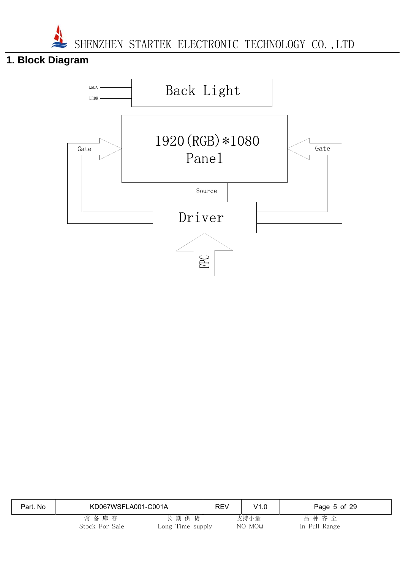# **1. Block Diagram**



| Part, No | KD067WSFLA001-C001A       |                          | <b>REV</b> | V1.0           | Page 5 of 29          |
|----------|---------------------------|--------------------------|------------|----------------|-----------------------|
|          | 常 备 库 存<br>Stock For Sale | 长期供货<br>Long Time supply |            | 支持小量<br>NO MOQ | 品种齐全<br>In Full Range |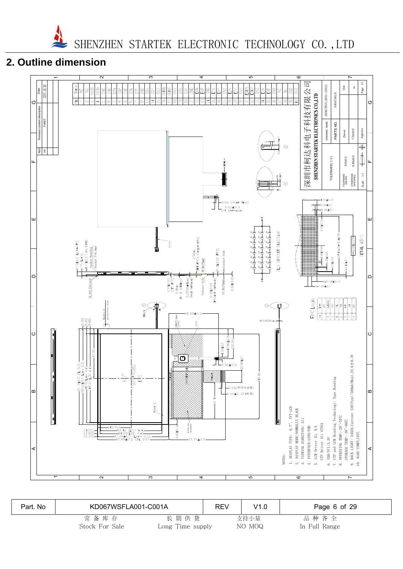# **2. Outline dimension**



| Part, No | KD067WSFLA001-C001A |                  | REV | V1.0   | Page 6 of 29  |
|----------|---------------------|------------------|-----|--------|---------------|
|          | 常备库存                | 长期供货             |     | 支持小量   | 品种齐全          |
|          | Stock For Sale      | Long Time supply |     | NO MOQ | In Full Range |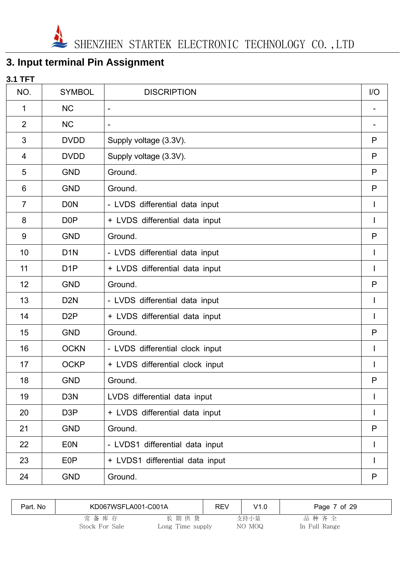# **3. Input terminal Pin Assignment**

| <b>3.1 TFT</b> |                  |                                 |     |
|----------------|------------------|---------------------------------|-----|
| NO.            | <b>SYMBOL</b>    | <b>DISCRIPTION</b>              | I/O |
| 1              | <b>NC</b>        | $\blacksquare$                  |     |
| $\overline{2}$ | <b>NC</b>        | $\overline{\phantom{a}}$        |     |
| 3              | <b>DVDD</b>      | Supply voltage (3.3V).          | P   |
| 4              | <b>DVDD</b>      | Supply voltage (3.3V).          | P   |
| 5              | <b>GND</b>       | Ground.                         | P   |
| 6              | <b>GND</b>       | Ground.                         | P   |
| $\overline{7}$ | <b>DON</b>       | - LVDS differential data input  |     |
| 8              | D <sub>0</sub> P | + LVDS differential data input  |     |
| 9              | <b>GND</b>       | Ground.                         | P   |
| 10             | D <sub>1</sub> N | - LVDS differential data input  | I   |
| 11             | D <sub>1</sub> P | + LVDS differential data input  | I   |
| 12             | <b>GND</b>       | Ground.                         | P   |
| 13             | D <sub>2</sub> N | - LVDS differential data input  |     |
| 14             | D <sub>2</sub> P | + LVDS differential data input  |     |
| 15             | <b>GND</b>       | Ground.                         | P   |
| 16             | <b>OCKN</b>      | - LVDS differential clock input |     |
| 17             | <b>OCKP</b>      | + LVDS differential clock input |     |
| 18             | <b>GND</b>       | Ground.                         | P   |
| 19             | D <sub>3</sub> N | LVDS differential data input    |     |
| 20             | D <sub>3</sub> P | + LVDS differential data input  |     |
| 21             | <b>GND</b>       | Ground.                         | P   |
| 22             | <b>EON</b>       | - LVDS1 differential data input |     |
| 23             | E <sub>0</sub> P | + LVDS1 differential data input |     |
| 24             | <b>GND</b>       | Ground.                         | P   |

| Part. No | KD067WSFLA001-C001A    |                          | <b>REV</b> | V1.0           | Page 7 of 29          |
|----------|------------------------|--------------------------|------------|----------------|-----------------------|
|          | 常备库存<br>Stock For Sale | 长期供货<br>Long Time supply |            | 支持小量<br>NO MOQ | 品种齐全<br>In Full Range |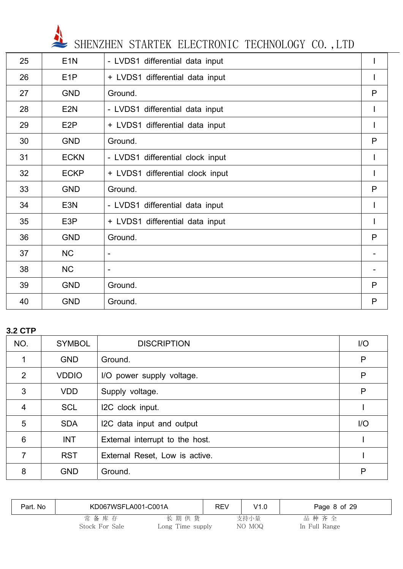

| 25 | E <sub>1</sub> N | - LVDS1 differential data input  | I            |
|----|------------------|----------------------------------|--------------|
| 26 | E <sub>1</sub> P | + LVDS1 differential data input  | Ш            |
| 27 | <b>GND</b>       | Ground.                          | P            |
| 28 | E <sub>2N</sub>  | - LVDS1 differential data input  | L            |
| 29 | E <sub>2</sub> P | + LVDS1 differential data input  | $\mathsf{I}$ |
| 30 | <b>GND</b>       | Ground.                          | P            |
| 31 | <b>ECKN</b>      | - LVDS1 differential clock input | $\mathbf{I}$ |
| 32 | <b>ECKP</b>      | + LVDS1 differential clock input |              |
| 33 | <b>GND</b>       | Ground.                          | P            |
| 34 | E <sub>3</sub> N | - LVDS1 differential data input  | $\mathsf{I}$ |
| 35 | E <sub>3</sub> P | + LVDS1 differential data input  |              |
| 36 | <b>GND</b>       | Ground.                          | P            |
| 37 | <b>NC</b>        | $\overline{\phantom{0}}$         |              |
| 38 | <b>NC</b>        | $\overline{\phantom{0}}$         |              |
| 39 | <b>GND</b>       | Ground.                          | P            |
| 40 | <b>GND</b>       | Ground.                          | P            |

### **3.2 CTP**

| NO.            | <b>SYMBOL</b> | <b>DISCRIPTION</b>              | $\overline{1}/\overline{O}$ |
|----------------|---------------|---------------------------------|-----------------------------|
|                | <b>GND</b>    | Ground.                         | P                           |
| 2              | <b>VDDIO</b>  | I/O power supply voltage.       | P                           |
| 3              | <b>VDD</b>    | Supply voltage.                 | P                           |
| $\overline{4}$ | <b>SCL</b>    | I2C clock input.                |                             |
| 5              | <b>SDA</b>    | I2C data input and output       | I/O                         |
| $6\phantom{1}$ | <b>INT</b>    | External interrupt to the host. |                             |
| 7              | <b>RST</b>    | External Reset, Low is active.  |                             |
| 8              | <b>GND</b>    | Ground.                         | P                           |

| Part. No | KD067WSFLA001-C001A |                  | <b>REV</b> | V1.0   | Page 8 of 29  |
|----------|---------------------|------------------|------------|--------|---------------|
|          | 常备库存                | 长期供货             |            | 支持小量   | 品种齐全          |
|          | Stock For Sale      | Long Time supply |            | NO MOQ | In Full Range |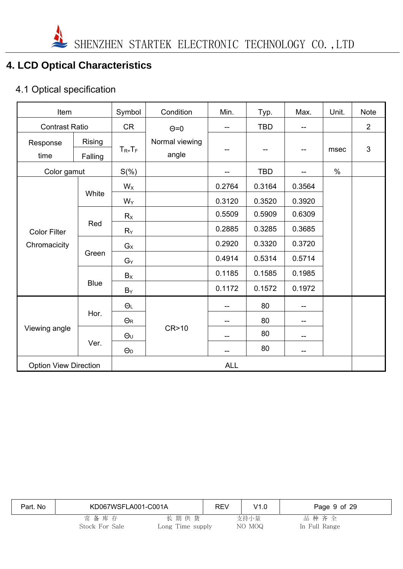

# **4. LCD Optical Characteristics**

# 4.1 Optical specification

| Item                         |                   | Symbol                | Condition               | Min.                     | Typ.       | Max.   | Unit. | <b>Note</b>    |
|------------------------------|-------------------|-----------------------|-------------------------|--------------------------|------------|--------|-------|----------------|
| <b>Contrast Ratio</b>        |                   | <b>CR</b>             | $\Theta = 0$            | --                       | <b>TBD</b> | $-$    |       | $\overline{2}$ |
| Response<br>time             | Rising<br>Falling | $T_{R+}T_F$           | Normal viewing<br>angle | --                       | --         | --     | msec  | 3              |
| Color gamut                  |                   | $S(\%)$               |                         | --                       | <b>TBD</b> |        | $\%$  |                |
|                              |                   | $W_X$                 |                         | 0.2764                   | 0.3164     | 0.3564 |       |                |
|                              | White             | $W_Y$                 |                         | 0.3120                   | 0.3520     | 0.3920 |       |                |
|                              |                   | Rx                    |                         | 0.5509                   | 0.5909     | 0.6309 |       |                |
| <b>Color Filter</b>          | Red               | $R_Y$                 |                         | 0.2885                   | 0.3285     | 0.3685 |       |                |
| Chromacicity                 | Green             | $G_X$                 |                         | 0.2920                   | 0.3320     | 0.3720 |       |                |
|                              |                   | $G_Y$                 |                         | 0.4914                   | 0.5314     | 0.5714 |       |                |
|                              |                   | $B_X$                 |                         | 0.1185                   | 0.1585     | 0.1985 |       |                |
|                              | <b>Blue</b>       | $B_Y$                 |                         | 0.1172                   | 0.1572     | 0.1972 |       |                |
|                              |                   | $\Theta$ L            |                         | --                       | 80         | --     |       |                |
|                              | Hor.              | $\Theta$ R            |                         | --                       | 80         | --     |       |                |
| Viewing angle                |                   | $\Theta$ U            | CR>10                   | $\overline{\phantom{a}}$ | 80         | $- -$  |       |                |
|                              | Ver.              | $\Theta$ <sub>D</sub> |                         | --                       | 80         | --     |       |                |
| <b>Option View Direction</b> |                   |                       |                         | <b>ALL</b>               |            |        |       |                |

| Part. No | KD067WSFLA001-C001A    |                          | REV | V1.0           | Page 9 of 29          |
|----------|------------------------|--------------------------|-----|----------------|-----------------------|
|          | 常备库存<br>Stock For Sale | 长期供货<br>Long Time supply |     | 支持小量<br>NO MOQ | 品种齐全<br>In Full Range |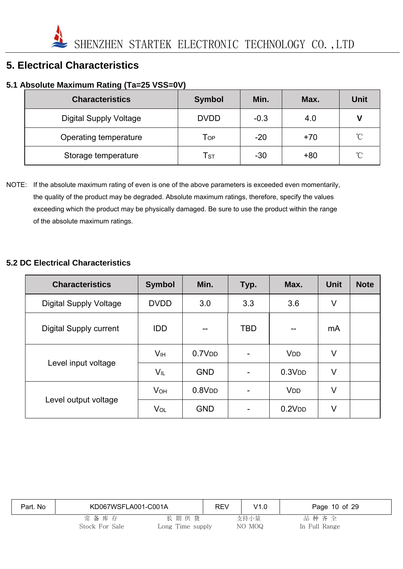# **5. Electrical Characteristics**

### **5.1 Absolute Maximum Rating (Ta=25 VSS=0V)**

| <b>Characteristics</b>        | <b>Symbol</b>              | Min.   | Max.  | <b>Unit</b>     |
|-------------------------------|----------------------------|--------|-------|-----------------|
| <b>Digital Supply Voltage</b> | <b>DVDD</b>                | $-0.3$ | 4.0   | V               |
| Operating temperature         | Тор                        | $-20$  | $+70$ | $^{\circ}$ C    |
| Storage temperature           | $\mathsf{T}_{\texttt{ST}}$ | $-30$  | $+80$ | $\rm ^{\circ}C$ |

NOTE: If the absolute maximum rating of even is one of the above parameters is exceeded even momentarily, the quality of the product may be degraded. Absolute maximum ratings, therefore, specify the values exceeding which the product may be physically damaged. Be sure to use the product within the range of the absolute maximum ratings.

#### **5.2 DC Electrical Characteristics**

| <b>Characteristics</b>        | <b>Symbol</b>         | Min.               | Typ.       | Max.                  | <b>Unit</b> | <b>Note</b> |
|-------------------------------|-----------------------|--------------------|------------|-----------------------|-------------|-------------|
| <b>Digital Supply Voltage</b> | <b>DVDD</b>           | 3.0                | 3.3        | 3.6                   | V           |             |
| <b>Digital Supply current</b> | <b>IDD</b>            | --                 | <b>TBD</b> | --                    | mA          |             |
|                               | V <sub>IH</sub>       | 0.7V <sub>DD</sub> |            | <b>V<sub>DD</sub></b> | V           |             |
| Level input voltage           | VIL                   | <b>GND</b>         |            | 0.3V <sub>DD</sub>    | V           |             |
|                               | <b>V<sub>OH</sub></b> | 0.8V <sub>DD</sub> |            | <b>V<sub>DD</sub></b> | V           |             |
| Level output voltage          | VOL                   | <b>GND</b>         |            | 0.2V <sub>DD</sub>    | V           |             |

| Part. No | KD067WSFLA001-C001A       |                          | <b>REV</b> | V1.0           | Page 10 of 29         |  |
|----------|---------------------------|--------------------------|------------|----------------|-----------------------|--|
|          | 常 备 库 存<br>Stock For Sale | 长期供货<br>Long Time supply |            | 支持小量<br>NO MOQ | 品种齐全<br>In Full Range |  |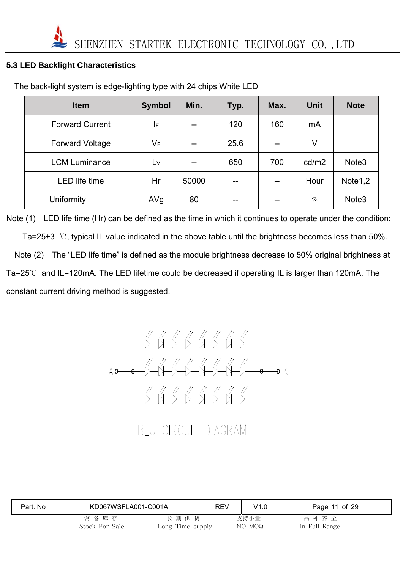#### **5.3 LED Backlight Characteristics**

| <b>Item</b>            | <b>Symbol</b> | Min.  | Typ. | Max. | <b>Unit</b> | <b>Note</b>         |
|------------------------|---------------|-------|------|------|-------------|---------------------|
| <b>Forward Current</b> | IF            |       | 120  | 160  | mA          |                     |
| <b>Forward Voltage</b> | VF            |       | 25.6 |      | V           |                     |
| <b>LCM Luminance</b>   | Lv            |       | 650  | 700  | cd/m2       | Note <sub>3</sub>   |
| <b>LED</b> life time   | Hr            | 50000 | $-$  | --   | Hour        | Note <sub>1,2</sub> |
| Uniformity             | AVg           | 80    | --   | --   | $\%$        | Note <sub>3</sub>   |

The back-light system is edge-lighting type with 24 chips White LED

Note (1) LED life time (Hr) can be defined as the time in which it continues to operate under the condition: Ta=25±3 ℃, typical IL value indicated in the above table until the brightness becomes less than 50%. Note (2) The "LED life time" is defined as the module brightness decrease to 50% original brightness at Ta=25℃ and IL=120mA. The LED lifetime could be decreased if operating IL is larger than 120mA. The constant current driving method is suggested.



BLU CIRCUIT DIAGRAM

| Part. No | KD067WSFLA001-C001A    |                          | REV | V1.0           | Page 11 of 29         |
|----------|------------------------|--------------------------|-----|----------------|-----------------------|
|          | 常备库存<br>Stock For Sale | 长期供货<br>Long Time supply |     | 支持小量<br>NO MOQ | 品种齐全<br>In Full Range |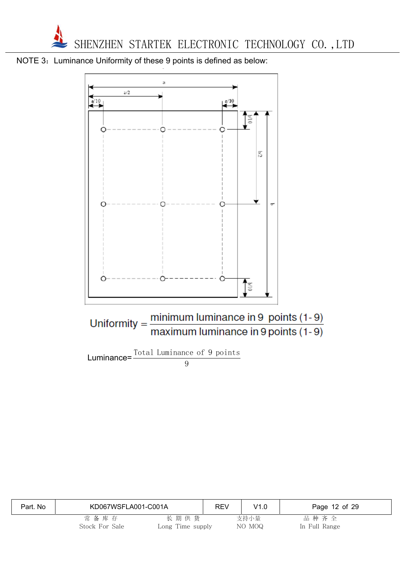





| Part. No | KD067WSFLA001-C001A    |                          | <b>REV</b> | V1.0           | Page 12 of 29         |
|----------|------------------------|--------------------------|------------|----------------|-----------------------|
|          | 常备库存<br>Stock For Sale | 长期供货<br>Long Time supply |            | 支持小量<br>NO MOQ | 品种齐全<br>In Full Range |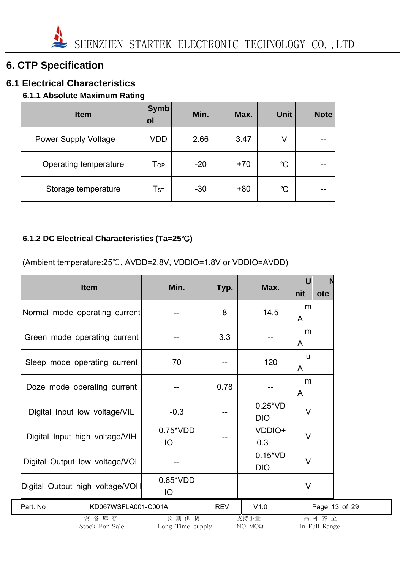# **6. CTP Specification**

# **6.1 Electrical Characteristics**

## **6.1.1 Absolute Maximum Rating**

| <b>Item</b>                 | <b>Symb</b><br>ol | Min.  | Max.  | <b>Unit</b>  | <b>Note</b> |
|-----------------------------|-------------------|-------|-------|--------------|-------------|
| <b>Power Supply Voltage</b> | <b>VDD</b>        | 2.66  | 3.47  | V            |             |
| Operating temperature       | Top               | $-20$ | $+70$ | $^{\circ}$ C | --          |
| Storage temperature         | T <sub>ST</sub>   | $-30$ | $+80$ | °C           | --          |

## **6.1.2 DC Electrical Characteristics (Ta=25**℃**)**

(Ambient temperature:25℃, AVDD=2.8V, VDDIO=1.8V or VDDIO=AVDD)

|          | <b>Item</b>                     | Min.                     | Typ.       | Max.                          | U<br>nit | ote                   |  |
|----------|---------------------------------|--------------------------|------------|-------------------------------|----------|-----------------------|--|
|          | Normal mode operating current   |                          | 8          | 14.5                          | m<br>A   |                       |  |
|          | Green mode operating current    |                          | 3.3        |                               | m<br>A   |                       |  |
|          | Sleep mode operating current    | 70                       |            | 120                           | u<br>A   |                       |  |
|          | Doze mode operating current     |                          | 0.78       |                               | m<br>A   |                       |  |
|          | Digital Input low voltage/VIL   | $-0.3$                   |            | $0.25^{\ast}VD$<br><b>DIO</b> | $\vee$   |                       |  |
|          | Digital Input high voltage/VIH  | $0.75*VDD$<br>IO         |            | VDDIO+<br>0.3                 | $\vee$   |                       |  |
|          | Digital Output low voltage/VOL  |                          |            | $0.15^{\ast}VD$<br><b>DIO</b> | $\vee$   |                       |  |
|          | Digital Output high voltage/VOH | 0.85*VDD<br>IO           |            |                               | $\vee$   |                       |  |
| Part. No | KD067WSFLA001-C001A             |                          | <b>REV</b> | V1.0                          |          | Page 13 of 29         |  |
|          | 常备库存<br>Stock For Sale          | 长期供货<br>Long Time supply |            | 支持小量<br>NO MOQ                |          | 品种齐全<br>In Full Range |  |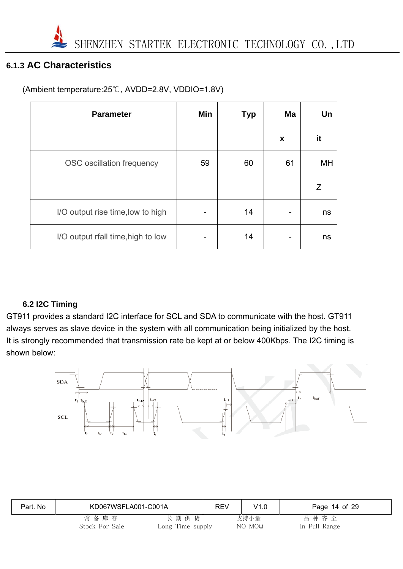

# **6.1.3 AC Characteristics**

| <b>Parameter</b>                   | Min | <b>Typ</b> | Ma           | Un |
|------------------------------------|-----|------------|--------------|----|
|                                    |     |            | $\pmb{\chi}$ | it |
| OSC oscillation frequency          | 59  | 60         | 61           | MH |
|                                    |     |            |              | Ζ  |
| I/O output rise time, low to high  |     | 14         |              | ns |
| I/O output rfall time, high to low |     | 14         | -            | ns |

#### **6.2 I2C Timing**

GT911 provides a standard I2C interface for SCL and SDA to communicate with the host. GT911 always serves as slave device in the system with all communication being initialized by the host. It is strongly recommended that transmission rate be kept at or below 400Kbps. The I2C timing is shown below:



| Part. No | KD067WSFLA001-C001A       |                          | REV | V1.0           | Page 14 of 29         |  |
|----------|---------------------------|--------------------------|-----|----------------|-----------------------|--|
|          | 常 备 库 存<br>Stock For Sale | 长期供货<br>Long Time supply |     | 支持小量<br>NO MOQ | 品种齐全<br>In Full Range |  |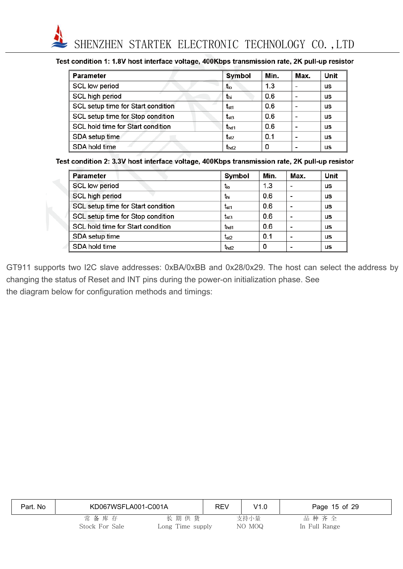

#### Test condition 1: 1.8V host interface voltage, 400Kbps transmission rate, 2K pull-up resistor

| <b>Parameter</b>                   | Symbol           | Min. | Max. | Unit      |
|------------------------------------|------------------|------|------|-----------|
| SCL low period                     | t <sub>lo</sub>  | 1.3  |      | us        |
| SCL high period                    | thi              | 0.6  |      | us        |
| SCL setup time for Start condition | $t_{\rm st1}$    | 0.6  |      | us        |
| SCL setup time for Stop condition  | $t_{st3}$        | 0.6  |      | us        |
| SCL hold time for Start condition  | t <sub>hd1</sub> | 0.6  |      | <b>us</b> |
| SDA setup time                     | $t_{st2}$        | 0.1  |      | us        |
| SDA hold time                      | t <sub>hd2</sub> | 0    |      | us        |

#### Test condition 2: 3.3V host interface voltage, 400Kbps transmission rate, 2K pull-up resistor

| <b>Parameter</b>                   | Symbol           | Min. | Max. | Unit      |
|------------------------------------|------------------|------|------|-----------|
| SCL low period                     | $t_{\rm lo}$     | 1.3  |      | us        |
| SCL high period                    | t <sub>hi</sub>  | 0.6  |      | us        |
| SCL setup time for Start condition | $t_{\rm st1}$    | 0.6  |      | us        |
| SCL setup time for Stop condition  | $t_{st3}$        | 0.6  |      | <b>us</b> |
| SCL hold time for Start condition  | t <sub>hd1</sub> | 0.6  |      | us        |
| SDA setup time                     | $t_{st2}$        | 0.1  |      | <b>us</b> |
| SDA hold time                      | $t_{hd2}$        | 0    |      | us        |

GT911 supports two I2C slave addresses: 0xBA/0xBB and 0x28/0x29. The host can select the address by changing the status of Reset and INT pins during the power-on initialization phase. See the diagram below for configuration methods and timings:

| Part. No | KD067WSFLA001-C001A |                  | <b>REV</b> | V1.0   | Page 15 of 29 |
|----------|---------------------|------------------|------------|--------|---------------|
|          | 常备库存                | 长期供货             |            | 支持小量   | 品种齐全          |
|          | Stock For Sale      | Long Time supply |            | NO MOQ | In Full Range |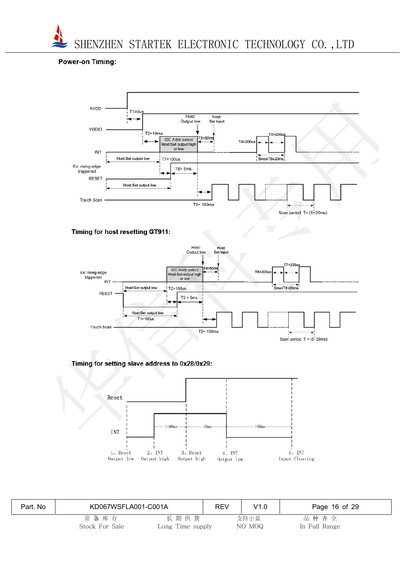

#### **Power-on Timing:**



#### Timing for host resetting GT911:



#### Timing for setting slave address to 0x28/0x29:



| Part. No | KD067WSFLA001-C001A    |                          | REV | V1.0           | Page 16 of 29         |
|----------|------------------------|--------------------------|-----|----------------|-----------------------|
|          | 常备库存<br>Stock For Sale | 长期供货<br>Long Time supply |     | 支持小量<br>NO MOQ | 品种齐全<br>In Full Range |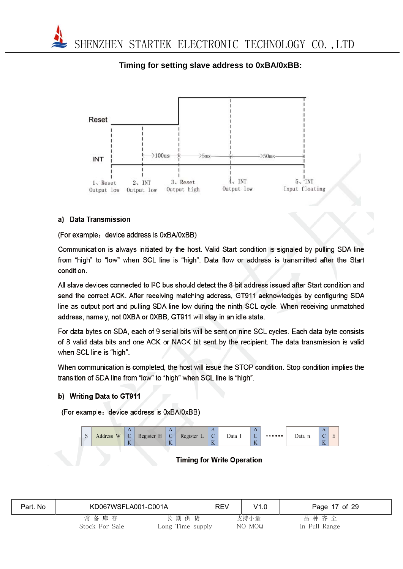

### **Timing for setting slave address to 0xBA/0xBB:**

#### a) Data Transmission

(For example: device address is 0xBA/0xBB)

Communication is always initiated by the host. Valid Start condition is signaled by pulling SDA line from "high" to "low" when SCL line is "high". Data flow or address is transmitted after the Start condition.

All slave devices connected to I<sup>2</sup>C bus should detect the 8-bit address issued after Start condition and send the correct ACK. After receiving matching address, GT911 acknowledges by configuring SDA line as output port and pulling SDA line low during the ninth SCL cycle. When receiving unmatched address, namely, not 0XBA or 0XBB, GT911 will stay in an idle state.

For data bytes on SDA, each of 9 serial bits will be sent on nine SCL cycles. Each data byte consists of 8 valid data bits and one ACK or NACK bit sent by the recipient. The data transmission is valid when SCL line is "high".

When communication is completed, the host will issue the STOP condition. Stop condition implies the transition of SDA line from "low" to "high" when SCL line is "high".

#### b) Writing Data to GT911

(For example: device address is 0xBA/0xBB)



#### **Timing for Write Operation**

| Part. No | KD067WSFLA001-C001A |                  | REV | V1.0   | Page 17 of 29 |
|----------|---------------------|------------------|-----|--------|---------------|
|          | 常备库存                | 长期供货             |     | 支持小量   | 品种齐全          |
|          | Stock For Sale      | Long Time supply |     | NO MOQ | In Full Range |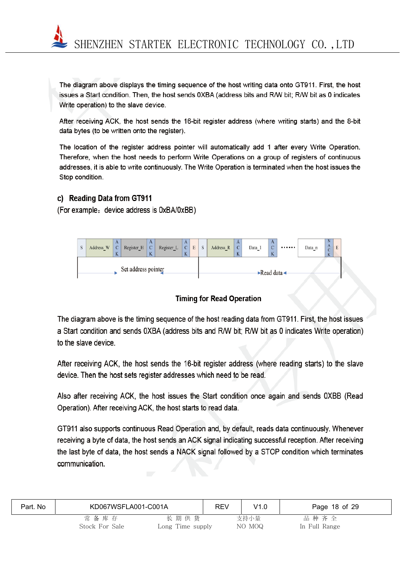

The diagram above displays the timing sequence of the host writing data onto GT911. First, the host issues a Start condition. Then, the host sends 0XBA (address bits and R/W bit; R/W bit as 0 indicates Write operation) to the slave device.

After receiving ACK, the host sends the 16-bit register address (where writing starts) and the 8-bit data bytes (to be written onto the register).

The location of the register address pointer will automatically add 1 after every Write Operation. Therefore, when the host needs to perform Write Operations on a group of registers of continuous addresses, it is able to write continuously. The Write Operation is terminated when the host issues the Stop condition.

#### c) Reading Data from GT911

(For example: device address is 0xBA/0xBB)



#### **Timing for Read Operation**

The diagram above is the timing sequence of the host reading data from GT911. First, the host issues a Start condition and sends 0XBA (address bits and R/W bit; R/W bit as 0 indicates Write operation) to the slave device.

After receiving ACK, the host sends the 16-bit register address (where reading starts) to the slave device. Then the host sets register addresses which need to be read.

Also after receiving ACK, the host issues the Start condition once again and sends 0XBB (Read Operation). After receiving ACK, the host starts to read data.

GT911 also supports continuous Read Operation and, by default, reads data continuously. Whenever receiving a byte of data, the host sends an ACK signal indicating successful reception. After receiving the last byte of data, the host sends a NACK signal followed by a STOP condition which terminates communication.

| Part. No | KD067WSFLA001-C001A    |                          | REV | V1.0           | Page 18 of 29         |  |
|----------|------------------------|--------------------------|-----|----------------|-----------------------|--|
|          | 常备库存<br>Stock For Sale | 长期供货<br>Long Time supply |     | 支持小量<br>NO MOQ | 品种齐全<br>In Full Range |  |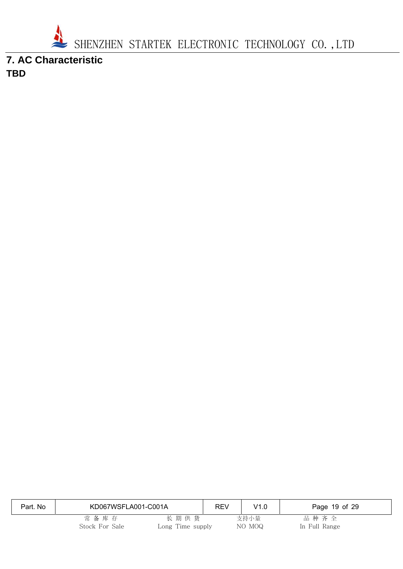

**7. AC Characteristic TBD** 

| Part. No | KD067WSFLA001-C001A    |                          | <b>REV</b> | V1.0           | Page 19 of 29         |
|----------|------------------------|--------------------------|------------|----------------|-----------------------|
|          | 常备库存<br>Stock For Sale | 长期供货<br>Long Time supply |            | 支持小量<br>NO MOQ | 品种齐全<br>In Full Range |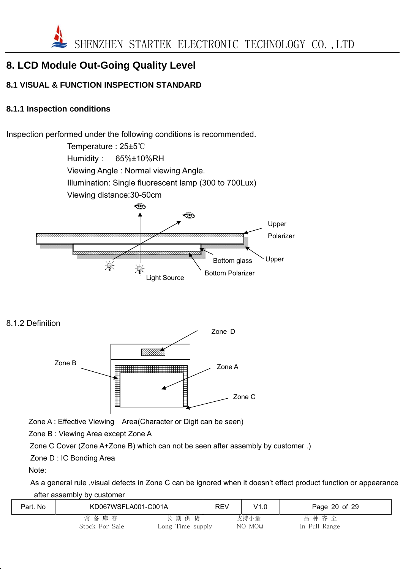

# **8. LCD Module Out-Going Quality Level**

### **8.1 VISUAL & FUNCTION INSPECTION STANDARD**

#### **8.1.1 Inspection conditions**

Inspection performed under the following conditions is recommended.

Temperature : 25±5℃ Humidity : 65%±10%RH Viewing Angle : Normal viewing Angle. Illumination: Single fluorescent lamp (300 to 700Lux) Viewing distance:30-50cm ☜ ☜ Upper Polarizer Upper Bottom glass 渝 Light Source **Bottom Polarizer** 

8.1.2 Definition



Zone A : Effective Viewing Area(Character or Digit can be seen)

Zone B : Viewing Area except Zone A

Zone C Cover (Zone A+Zone B) which can not be seen after assembly by customer .)

Zone D : IC Bonding Area

Note:

 As a general rule ,visual defects in Zone C can be ignored when it doesn't effect product function or appearance after assembly by customer

| Part. No | KD067WSFLA001-C001A |                  | <b>REV</b> | V1.0   | Page 20 of 29 |
|----------|---------------------|------------------|------------|--------|---------------|
|          | 常备库存                | 长期供货             |            | 支持小量   | 品种齐全          |
|          | Stock For Sale      | Long Time supply |            | NO MOQ | In Full Range |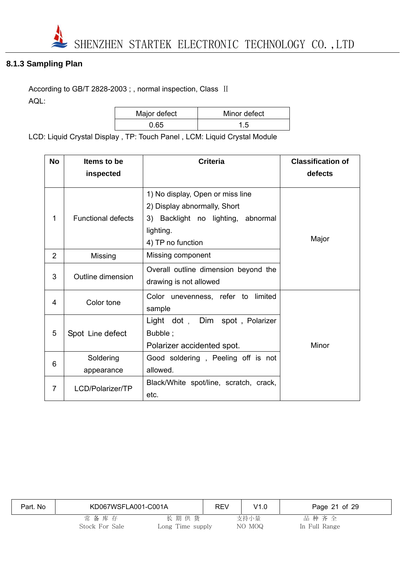

### **8.1.3 Sampling Plan**

According to GB/T 2828-2003 ; , normal inspection, Class II AQL:

| Major defect | Minor defect |  |  |  |
|--------------|--------------|--|--|--|
| 0.65         |              |  |  |  |

LCD: Liquid Crystal Display , TP: Touch Panel , LCM: Liquid Crystal Module

| <b>No</b>      | Items to be               | <b>Criteria</b>                                                                                                                          | <b>Classification of</b> |
|----------------|---------------------------|------------------------------------------------------------------------------------------------------------------------------------------|--------------------------|
|                | inspected                 |                                                                                                                                          | defects                  |
| 1              | <b>Functional defects</b> | 1) No display, Open or miss line<br>2) Display abnormally, Short<br>3) Backlight no lighting, abnormal<br>lighting.<br>4) TP no function | Major                    |
| 2              | Missing                   | Missing component                                                                                                                        |                          |
| 3              | Outline dimension         | Overall outline dimension beyond the<br>drawing is not allowed                                                                           |                          |
| 4              | Color tone                | limited<br>Color unevenness, refer to<br>sample                                                                                          |                          |
| 5              | Spot Line defect          | Light dot , Dim spot, Polarizer<br>Bubble;<br>Polarizer accidented spot.                                                                 | Minor                    |
| 6              | Soldering<br>appearance   | Good soldering, Peeling off is not<br>allowed.                                                                                           |                          |
| $\overline{7}$ | LCD/Polarizer/TP          | Black/White spot/line, scratch, crack,<br>etc.                                                                                           |                          |

| Part. No | KD067WSFLA001-C001A       |                          | <b>REV</b> | V1.0           | Page 21 of 29         |
|----------|---------------------------|--------------------------|------------|----------------|-----------------------|
|          | 常 备 库 存<br>Stock For Sale | 长期供货<br>Long Time supply |            | 支持小量<br>NO MOQ | 品种齐全<br>In Full Range |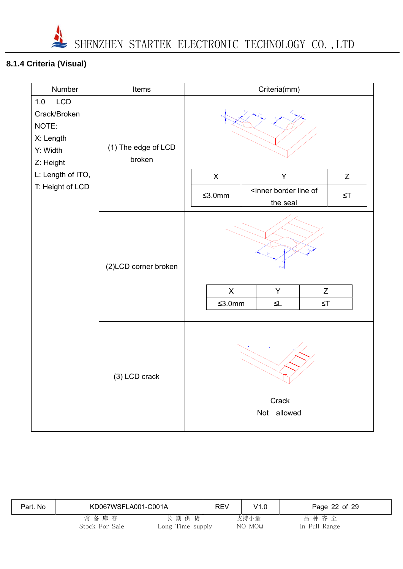

# **8.1.4 Criteria (Visual)**

| Number                                                                    | Items                         |                                                     | Criteria(mm)                                       |  |          |  |
|---------------------------------------------------------------------------|-------------------------------|-----------------------------------------------------|----------------------------------------------------|--|----------|--|
| LCD<br>1.0<br>Crack/Broken<br>NOTE:<br>X: Length<br>Y: Width<br>Z: Height | (1) The edge of LCD<br>broken |                                                     |                                                    |  |          |  |
| L: Length of ITO,                                                         |                               | $\pmb{\times}$                                      | Y                                                  |  | Z        |  |
| T: Height of LCD                                                          |                               | $≤3.0mm$                                            | <inner border="" line="" of<br="">the seal</inner> |  | $\leq$ T |  |
|                                                                           | (2)LCD corner broken          | $\mathsf X$<br>Y<br>Z<br>$≤3.0mm$<br>$\leq$ T<br>≤L |                                                    |  |          |  |
| (3) LCD crack<br>Crack<br>Not allowed                                     |                               |                                                     |                                                    |  |          |  |

| Part. No | KD067WSFLA001-C001A       |                          | <b>REV</b> | V1.0           | Page 22 of 29         |  |
|----------|---------------------------|--------------------------|------------|----------------|-----------------------|--|
|          | 常 备 库 存<br>Stock For Sale | 长期供货<br>Long Time supply |            | 支持小量<br>NO MOQ | 品种齐全<br>In Full Range |  |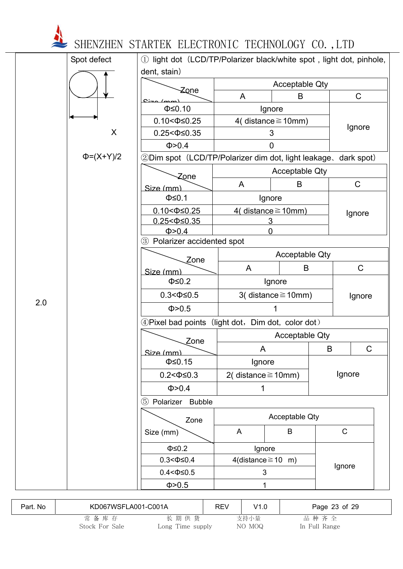| Spot defect      | 1) light dot (LCD/TP/Polarizer black/white spot, light dot, pinhole,<br>dent, stain) |                         |                          |   |              |  |  |
|------------------|--------------------------------------------------------------------------------------|-------------------------|--------------------------|---|--------------|--|--|
|                  |                                                                                      |                         | <b>Acceptable Qty</b>    |   |              |  |  |
|                  | Zone<br>$C1 - C1$                                                                    | A                       | B                        |   | $\mathsf{C}$ |  |  |
|                  | $\Phi \leq 0.10$                                                                     |                         | Ignore                   |   |              |  |  |
|                  | $0.10 < \Phi \le 0.25$                                                               |                         | 4( distance $\geq$ 10mm) |   |              |  |  |
|                  | X<br>$0.25 < \Phi \leq 0.35$                                                         |                         | 3                        |   | Ignore       |  |  |
|                  | Φ > 0.4                                                                              |                         | $\overline{0}$           |   |              |  |  |
| $\Phi = (X+Y)/2$ | 2Dim spot (LCD/TP/Polarizer dim dot, light leakage, dark spot)                       |                         |                          |   |              |  |  |
|                  |                                                                                      |                         | <b>Acceptable Qty</b>    |   |              |  |  |
|                  | Zone                                                                                 | A                       | B                        |   | $\mathsf C$  |  |  |
|                  | Size (mm)<br>$\Phi \leq 0.1$                                                         |                         | Ignore                   |   |              |  |  |
|                  | $0.10 < \Phi \leq 0.25$                                                              |                         | 4( distance $\geq$ 10mm) |   |              |  |  |
|                  | $0.25 < \Phi \leq 0.35$                                                              |                         | 3                        |   | Ignore       |  |  |
|                  | Φ > 0.4                                                                              |                         | O                        |   |              |  |  |
|                  | Polarizer accidented spot<br>$\circled{3}$                                           |                         |                          |   |              |  |  |
|                  | Zone                                                                                 |                         | <b>Acceptable Qty</b>    |   |              |  |  |
|                  | Size (mm)                                                                            | A                       | B                        |   | C            |  |  |
|                  | $\Phi \leq 0.2$                                                                      |                         | Ignore                   |   |              |  |  |
|                  | $0.3 < \Phi \le 0.5$                                                                 |                         | 3(distance $\geq$ 10mm)  |   | Ignore       |  |  |
| 2.0              | Φ > 0.5                                                                              |                         |                          |   |              |  |  |
|                  | 4) Pixel bad points (light dot, Dim dot, color dot)                                  |                         |                          |   |              |  |  |
|                  |                                                                                      |                         | <b>Acceptable Qty</b>    |   |              |  |  |
|                  | Zone                                                                                 | A                       |                          | B | C            |  |  |
|                  | Size (mm)<br>$\Phi \leq 0.15$                                                        | Ignore                  |                          |   |              |  |  |
|                  | $0.2 < \Phi \leq 0.3$                                                                | 2(distance $\geq$ 10mm) |                          |   | Ignore       |  |  |
|                  | $\Phi > 0.4$                                                                         | 1                       |                          |   |              |  |  |
|                  | <b>Bubble</b><br>(5)<br>Polarizer                                                    |                         |                          |   |              |  |  |
|                  |                                                                                      |                         |                          |   |              |  |  |
|                  | Zone                                                                                 |                         | <b>Acceptable Qty</b>    |   |              |  |  |
|                  | Size (mm)                                                                            | A                       | B                        |   | $\mathsf{C}$ |  |  |
|                  | $\Phi \leq 0.2$                                                                      | Ignore                  |                          |   |              |  |  |
|                  | $0.3 < \Phi \leq 0.4$                                                                | 4(distance $\geq$ 10 m) |                          |   |              |  |  |
|                  | $0.4 < \Phi \le 0.5$                                                                 | 3                       |                          |   | Ignore       |  |  |
|                  | Φ>0.5                                                                                | 1                       |                          |   |              |  |  |

| Part. No | KD067WSFLA001-C001A |                  | REV | V1.0   | Page 23 of 29 |
|----------|---------------------|------------------|-----|--------|---------------|
|          | 常备库存                | 长期供货             |     | 支持小量   | 品种齐全          |
|          | Stock For Sale      | Long Time supply |     | NO MOQ | In Full Range |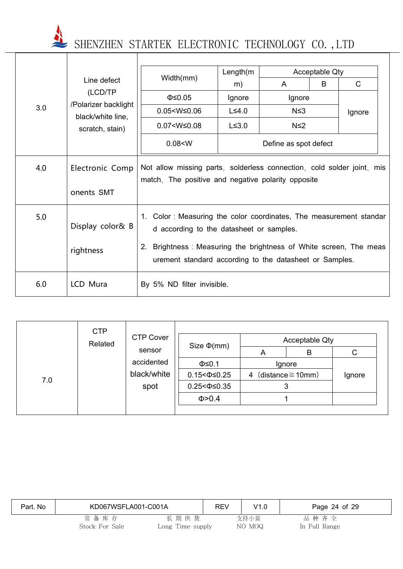|     |                                           |                                                                                                                                                                                                                                                   | Length(m)    |                       | Acceptable Qty |        |
|-----|-------------------------------------------|---------------------------------------------------------------------------------------------------------------------------------------------------------------------------------------------------------------------------------------------------|--------------|-----------------------|----------------|--------|
|     | Line defect                               | Width(mm)                                                                                                                                                                                                                                         | m)           | A                     | B              | C      |
|     | (LCD/TP                                   | $\Phi \leq 0.05$                                                                                                                                                                                                                                  | Ignore       | Ignore                |                |        |
| 3.0 | /Polarizer backlight<br>black/white line, | $0.05 < W \leq 0.06$                                                                                                                                                                                                                              | $L \leq 4.0$ | $N \leq 3$            |                | Ignore |
|     | scratch, stain)                           | $0.07 < W \leq 0.08$                                                                                                                                                                                                                              | $L \leq 3.0$ | $N \leq 2$            |                |        |
|     |                                           | 0.08 < W                                                                                                                                                                                                                                          |              | Define as spot defect |                |        |
| 4.0 | Electronic Comp<br>onents SMT             | Not allow missing parts, solderless connection, cold solder joint, mis<br>match, The positive and negative polarity opposite                                                                                                                      |              |                       |                |        |
| 5.0 | Display color& B<br>rightness             | 1. Color: Measuring the color coordinates, The measurement standar<br>d according to the datasheet or samples.<br>Brightness: Measuring the brightness of White screen, The meas<br>2.<br>urement standard according to the datasheet or Samples. |              |                       |                |        |
| 6.0 | LCD Mura                                  | By 5% ND filter invisible.                                                                                                                                                                                                                        |              |                       |                |        |

|     | <b>CTP</b> |                  |                         |        |                        |        |
|-----|------------|------------------|-------------------------|--------|------------------------|--------|
|     | Related    | <b>CTP Cover</b> | Size $\Phi$ (mm)        |        | Acceptable Qty         |        |
|     |            | sensor           |                         | A      | B                      | C      |
|     | accidented |                  | $\Phi \leq 0.1$         | Ignore |                        |        |
| 7.0 |            | black/white      | $0.15 < \Phi \leq 0.25$ | 4      | (distance $\geq$ 10mm) | Ignore |
|     |            | spot             | $0.25 < \Phi \leq 0.35$ | 3      |                        |        |
|     |            |                  | $\Phi > 0.4$            |        |                        |        |
|     |            |                  |                         |        |                        |        |

| Part. No | KD067WSFLA001-C001A    |                          | <b>REV</b> | V1.0           | Page 24 of 29         |
|----------|------------------------|--------------------------|------------|----------------|-----------------------|
|          | 常备库存<br>Stock For Sale | 长期供货<br>Long Time supply |            | 支持小量<br>NO MOQ | 品种齐全<br>In Full Range |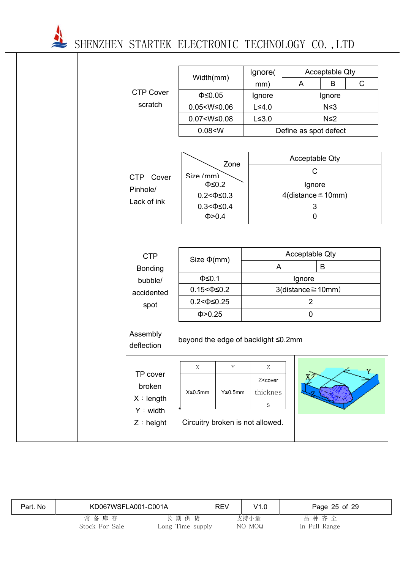|                                                               | <b>CTP Cover</b><br>scratch                                   | Width(mm)<br>$\Phi \leq 0.05$<br>$0.05 < W \le 0.06$<br>$0.07 < W \le 0.08$<br>0.08 < W            | Ignore(<br>mm)<br>Ignore<br>$L \leq 4.0$<br>$L \leq 3.0$                                             | A<br>Define as spot defect                                                                | Acceptable Qty<br>$\mathsf{C}$<br>B<br>Ignore<br>$N \leq 3$<br>$N \leq 2$ |  |
|---------------------------------------------------------------|---------------------------------------------------------------|----------------------------------------------------------------------------------------------------|------------------------------------------------------------------------------------------------------|-------------------------------------------------------------------------------------------|---------------------------------------------------------------------------|--|
|                                                               | <b>CTP</b><br>Cover<br>Pinhole/<br>Lack of ink                | Zone<br>Size (mm)<br>$\Phi \leq 0.2$<br>$0.2 < \Phi \le 0.3$<br>$0.3 < \Phi \leq 0.4$<br>Φ > 0.4   |                                                                                                      | Acceptable Qty<br>$\mathsf{C}$<br>Ignore<br>$4$ (distance $\geq 10$ mm)<br>3<br>$\pmb{0}$ |                                                                           |  |
|                                                               | <b>CTP</b><br><b>Bonding</b><br>bubble/<br>accidented<br>spot | Size $\Phi$ (mm)<br>$\Phi \leq 0.1$<br>$0.15 < \Phi \leq 0.2$<br>$0.2 < \Phi \le 0.25$<br>Φ > 0.25 | A                                                                                                    | Acceptable Qty<br>B<br>Ignore<br>$3$ (distance $\geq 10$ mm)<br>$\overline{2}$<br>0       |                                                                           |  |
|                                                               | Assembly<br>deflection                                        | beyond the edge of backlight ≤0.2mm                                                                |                                                                                                      |                                                                                           |                                                                           |  |
| TP cover<br>broken<br>X : length<br>Y : width<br>$Z :$ height |                                                               | $\mathbf X$<br>$\mathbf Y$<br>X≤0.5mm<br>$Y \leq 0.5$ mm<br>Circuitry broken is not allowed.       | $\ensuremath{\mathbf{Z}}$<br>Z <cover<br>thicknes<br/><math display="inline">\rm S</math></cover<br> |                                                                                           | Y                                                                         |  |

| Part. No | KD067WSFLA001-C001A    |                          | <b>REV</b> | V1.0           | Page 25 of 29         |
|----------|------------------------|--------------------------|------------|----------------|-----------------------|
|          | 常备库存<br>Stock For Sale | 长期供货<br>Long Time supply |            | 支持小量<br>NO MOQ | 品种齐全<br>In Full Range |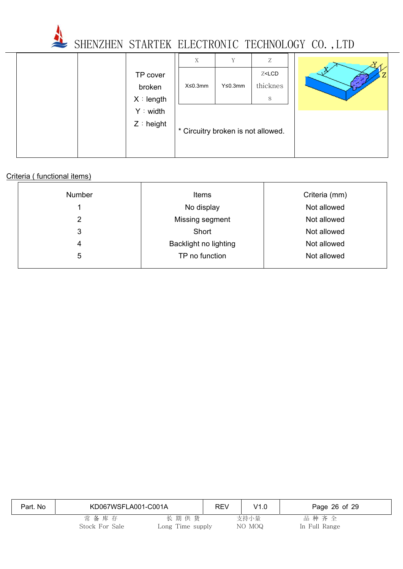

Y

Z

|  |              | X                                  | Y              | Z                              |  |
|--|--------------|------------------------------------|----------------|--------------------------------|--|
|  | TP cover     |                                    |                | Z <lcd< th=""><th></th></lcd<> |  |
|  | broken       | $X \leq 0.3$ mm                    | $Y \le 0.3$ mm | thicknes                       |  |
|  | X : length   |                                    |                | S                              |  |
|  | Y : width    |                                    |                |                                |  |
|  | $Z :$ height | * Circuitry broken is not allowed. |                |                                |  |
|  |              |                                    |                |                                |  |

## Criteria ( functional items)

| <b>Number</b> | Items                 | Criteria (mm) |
|---------------|-----------------------|---------------|
|               | No display            | Not allowed   |
| 2             | Missing segment       | Not allowed   |
| 3             | Short                 | Not allowed   |
| 4             | Backlight no lighting | Not allowed   |
| 5             | TP no function        | Not allowed   |
|               |                       |               |

| Part. No | KD067WSFLA001-C001A    |                          | <b>REV</b> | V1.0           | Page 26 of 29         |
|----------|------------------------|--------------------------|------------|----------------|-----------------------|
|          | 常备库存<br>Stock For Sale | 长期供货<br>Long Time supply |            | 支持小量<br>NO MOQ | 品种齐全<br>In Full Range |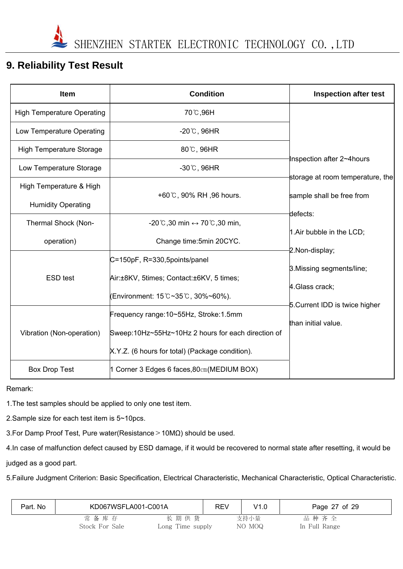# **9. Reliability Test Result**

| <b>Item</b>                       | <b>Condition</b>                                              | <b>Inspection after test</b>     |
|-----------------------------------|---------------------------------------------------------------|----------------------------------|
| <b>High Temperature Operating</b> | 70℃,96H                                                       |                                  |
| Low Temperature Operating         | $-20^{\circ}$ C, 96HR                                         |                                  |
| <b>High Temperature Storage</b>   | 80°C, 96HR                                                    |                                  |
| Low Temperature Storage           | $-30^{\circ}$ C, 96HR                                         | Inspection after 2~4hours        |
| High Temperature & High           |                                                               | storage at room temperature, the |
| <b>Humidity Operating</b>         | +60℃, 90% RH, 96 hours.                                       | sample shall be free from        |
| Thermal Shock (Non-               | $-20^{\circ}$ C,30 min $\leftrightarrow$ 70 $\circ$ C,30 min, | defects:                         |
| operation)                        | Change time: 5min 20CYC.                                      | 1.Air bubble in the LCD;         |
|                                   | C=150pF, R=330,5points/panel                                  | 2.Non-display;                   |
| <b>ESD</b> test                   | Air:±8KV, 5times; Contact:±6KV, 5 times;                      | 3. Missing segments/line;        |
|                                   | (Environment: 15℃~35℃, 30%~60%).                              | 4. Glass crack;                  |
|                                   | Frequency range:10~55Hz, Stroke:1.5mm                         | 5. Current IDD is twice higher   |
| Vibration (Non-operation)         | Sweep:10Hz~55Hz~10Hz 2 hours for each direction of            | than initial value.              |
|                                   | X.Y.Z. (6 hours for total) (Package condition).               |                                  |
| <b>Box Drop Test</b>              | 1 Corner 3 Edges 6 faces, 80cm (MEDIUM BOX)                   |                                  |

Remark:

1.The test samples should be applied to only one test item.

2.Sample size for each test item is 5~10pcs.

3.For Damp Proof Test, Pure water(Resistance>10MΩ) should be used.

4.In case of malfunction defect caused by ESD damage, if it would be recovered to normal state after resetting, it would be

judged as a good part.

5.Failure Judgment Criterion: Basic Specification, Electrical Characteristic, Mechanical Characteristic, Optical Characteristic.

| Part. No | KD067WSFLA001-C001A |                  | REV | V1.0   | Page 27 of 29 |
|----------|---------------------|------------------|-----|--------|---------------|
|          | 常备库存                | 长期供货             |     | 支持小量   | 品种齐全          |
|          | Stock For Sale      | Long Time supply |     | NO MOQ | In Full Range |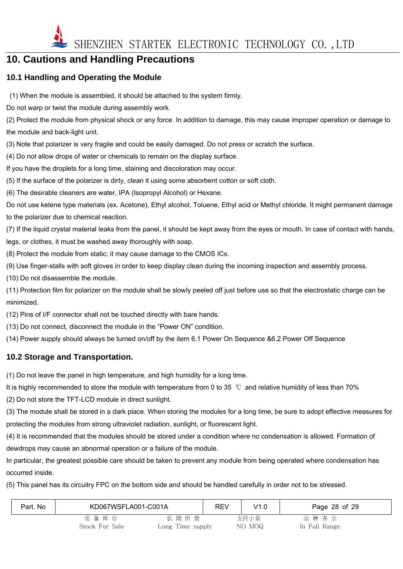

# **10. Cautions and Handling Precautions**

## **10.1 Handling and Operating the Module**

(1) When the module is assembled, it should be attached to the system firmly.

Do not warp or twist the module during assembly work.

(2) Protect the module from physical shock or any force. In addition to damage, this may cause improper operation or damage to the module and back-light unit.

(3) Note that polarizer is very fragile and could be easily damaged. Do not press or scratch the surface.

(4) Do not allow drops of water or chemicals to remain on the display surface.

If you have the droplets for a long time, staining and discoloration may occur.

(5) If the surface of the polarizer is dirty, clean it using some absorbent cotton or soft cloth.

(6) The desirable cleaners are water, IPA (Isopropyl Alcohol) or Hexane.

Do not use ketene type materials (ex. Acetone), Ethyl alcohol, Toluene, Ethyl acid or Methyl chloride. It might permanent damage to the polarizer due to chemical reaction.

(7) If the liquid crystal material leaks from the panel, it should be kept away from the eyes or mouth. In case of contact with hands, legs, or clothes, it must be washed away thoroughly with soap.

(8) Protect the module from static; it may cause damage to the CMOS ICs.

(9) Use finger-stalls with soft gloves in order to keep display clean during the incoming inspection and assembly process.

(10) Do not disassemble the module.

(11) Protection film for polarizer on the module shall be slowly peeled off just before use so that the electrostatic charge can be minimized.

(12) Pins of I/F connector shall not be touched directly with bare hands.

(13) Do not connect, disconnect the module in the "Power ON" condition.

(14) Power supply should always be turned on/off by the item 6.1 Power On Sequence &6.2 Power Off Sequence

### **10.2 Storage and Transportation.**

(1) Do not leave the panel in high temperature, and high humidity for a long time.

It is highly recommended to store the module with temperature from 0 to 35 ℃ and relative humidity of less than 70%

(2) Do not store the TFT-LCD module in direct sunlight.

(3) The module shall be stored in a dark place. When storing the modules for a long time, be sure to adopt effective measures for protecting the modules from strong ultraviolet radiation, sunlight, or fluorescent light.

(4) It is recommended that the modules should be stored under a condition where no condensation is allowed. Formation of dewdrops may cause an abnormal operation or a failure of the module.

In particular, the greatest possible care should be taken to prevent any module from being operated where condensation has occurred inside.

(5) This panel has its circuitry FPC on the bottom side and should be handled carefully in order not to be stressed.

| Part. No | KD067WSFLA001-C001A |                  | <b>REV</b> | V1.0   | Page 28 of 29 |
|----------|---------------------|------------------|------------|--------|---------------|
|          | 常备库存                | 长期供货             |            | 支持小量   | 品种齐全          |
|          | Stock For Sale      | Long Time supply |            | NO MOQ | In Full Range |